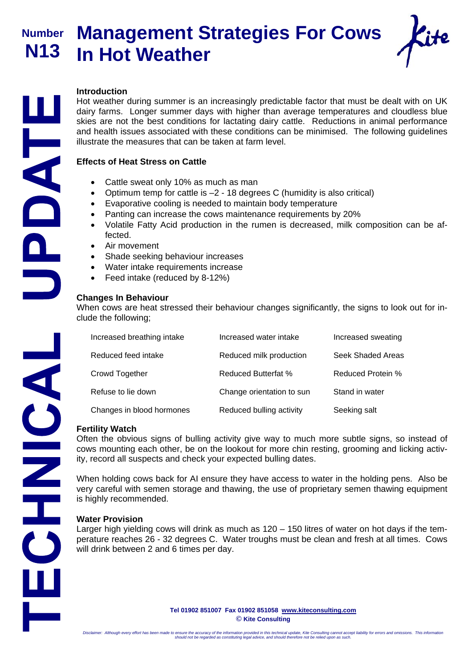**Number N13** 

# **Management Strategies For Cows In Hot Weather**



### **Introduction**

Hot weather during summer is an increasingly predictable factor that must be dealt with on UK dairy farms. Longer summer days with higher than average temperatures and cloudless blue skies are not the best conditions for lactating dairy cattle. Reductions in animal performance and health issues associated with these conditions can be minimised. The following guidelines illustrate the measures that can be taken at farm level.

### **Effects of Heat Stress on Cattle**

- Cattle sweat only 10% as much as man
- Optimum temp for cattle is –2 18 degrees C (humidity is also critical)
- Evaporative cooling is needed to maintain body temperature
- Panting can increase the cows maintenance requirements by 20%
- Volatile Fatty Acid production in the rumen is decreased, milk composition can be affected.
- Air movement
- Shade seeking behaviour increases
- Water intake requirements increase
- Feed intake (reduced by 8-12%)

### **Changes In Behaviour**

When cows are heat stressed their behaviour changes significantly, the signs to look out for include the following;

| Increased breathing intake | Increased water intake     | Increased sweating |
|----------------------------|----------------------------|--------------------|
| Reduced feed intake        | Reduced milk production    | Seek Shaded Areas  |
| Crowd Together             | <b>Reduced Butterfat %</b> | Reduced Protein %  |
| Refuse to lie down         | Change orientation to sun  | Stand in water     |
| Changes in blood hormones  | Reduced bulling activity   | Seeking salt       |

#### **Fertility Watch**

Often the obvious signs of bulling activity give way to much more subtle signs, so instead of cows mounting each other, be on the lookout for more chin resting, grooming and licking activity, record all suspects and check your expected bulling dates.

When holding cows back for AI ensure they have access to water in the holding pens. Also be very careful with semen storage and thawing, the use of proprietary semen thawing equipment is highly recommended.

### **Water Provision**

Larger high yielding cows will drink as much as 120 – 150 litres of water on hot days if the temperature reaches 26 - 32 degrees C. Water troughs must be clean and fresh at all times. Cows will drink between 2 and 6 times per day.

> **Tel 01902 851007 Fax 01902 851058 www.kiteconsulting.com © Kite Consulting**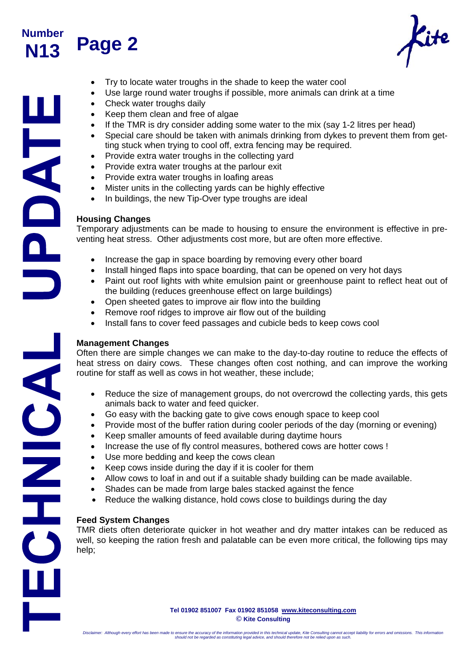

# **Page 2**

- Try to locate water troughs in the shade to keep the water cool
- Use large round water troughs if possible, more animals can drink at a time
- Check water troughs daily
- Keep them clean and free of algae
- If the TMR is dry consider adding some water to the mix (say 1-2 litres per head)
	- Special care should be taken with animals drinking from dykes to prevent them from getting stuck when trying to cool off, extra fencing may be required.
- Provide extra water troughs in the collecting yard
- Provide extra water troughs at the parlour exit
- Provide extra water troughs in loafing areas
- Mister units in the collecting yards can be highly effective
- In buildings, the new Tip-Over type troughs are ideal

## **Housing Changes**

Temporary adjustments can be made to housing to ensure the environment is effective in preventing heat stress. Other adjustments cost more, but are often more effective.

- Increase the gap in space boarding by removing every other board
- Install hinged flaps into space boarding, that can be opened on very hot days
- Paint out roof lights with white emulsion paint or greenhouse paint to reflect heat out of the building (reduces greenhouse effect on large buildings)
- Open sheeted gates to improve air flow into the building
- Remove roof ridges to improve air flow out of the building
- Install fans to cover feed passages and cubicle beds to keep cows cool

# **Management Changes**

Often there are simple changes we can make to the day-to-day routine to reduce the effects of heat stress on dairy cows. These changes often cost nothing, and can improve the working routine for staff as well as cows in hot weather, these include;

- Reduce the size of management groups, do not overcrowd the collecting yards, this gets animals back to water and feed quicker.
- Go easy with the backing gate to give cows enough space to keep cool
- Provide most of the buffer ration during cooler periods of the day (morning or evening)
- Keep smaller amounts of feed available during daytime hours
- Increase the use of fly control measures, bothered cows are hotter cows !
- Use more bedding and keep the cows clean
- Keep cows inside during the day if it is cooler for them
- Allow cows to loaf in and out if a suitable shady building can be made available.
- Shades can be made from large bales stacked against the fence
- Reduce the walking distance, hold cows close to buildings during the day

### **Feed System Changes**

TMR diets often deteriorate quicker in hot weather and dry matter intakes can be reduced as well, so keeping the ration fresh and palatable can be even more critical, the following tips may help;

> **Tel 01902 851007 Fax 01902 851058 www.kiteconsulting.com © Kite Consulting**

HHANDAS SHIPLE